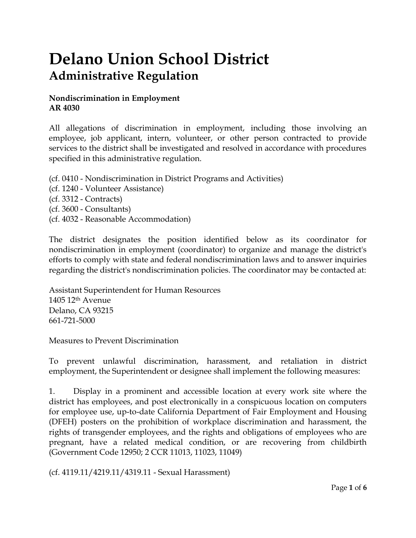## **Delano Union School District Administrative Regulation**

## **Nondiscrimination in Employment AR 4030**

All allegations of discrimination in employment, including those involving an employee, job applicant, intern, volunteer, or other person contracted to provide services to the district shall be investigated and resolved in accordance with procedures specified in this administrative regulation.

- (cf. 0410 Nondiscrimination in District Programs and Activities)
- (cf. 1240 Volunteer Assistance)
- (cf. 3312 Contracts)
- (cf. 3600 Consultants)
- (cf. 4032 Reasonable Accommodation)

The district designates the position identified below as its coordinator for nondiscrimination in employment (coordinator) to organize and manage the district's efforts to comply with state and federal nondiscrimination laws and to answer inquiries regarding the district's nondiscrimination policies. The coordinator may be contacted at:

Assistant Superintendent for Human Resources 1405 12th Avenue Delano, CA 93215 661-721-5000

Measures to Prevent Discrimination

To prevent unlawful discrimination, harassment, and retaliation in district employment, the Superintendent or designee shall implement the following measures:

1. Display in a prominent and accessible location at every work site where the district has employees, and post electronically in a conspicuous location on computers for employee use, up-to-date California Department of Fair Employment and Housing (DFEH) posters on the prohibition of workplace discrimination and harassment, the rights of transgender employees, and the rights and obligations of employees who are pregnant, have a related medical condition, or are recovering from childbirth (Government Code 12950; 2 CCR 11013, 11023, 11049)

(cf. 4119.11/4219.11/4319.11 - Sexual Harassment)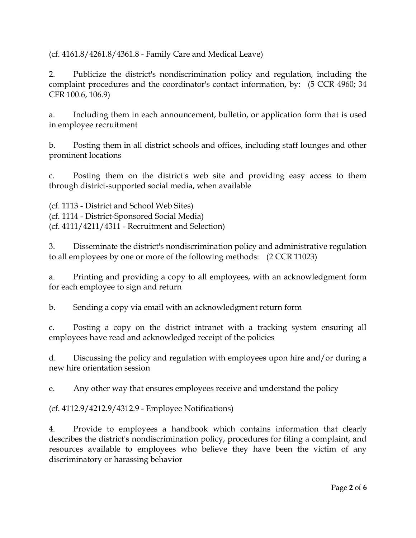(cf. 4161.8/4261.8/4361.8 - Family Care and Medical Leave)

2. Publicize the district's nondiscrimination policy and regulation, including the complaint procedures and the coordinator's contact information, by: (5 CCR 4960; 34 CFR 100.6, 106.9)

a. Including them in each announcement, bulletin, or application form that is used in employee recruitment

b. Posting them in all district schools and offices, including staff lounges and other prominent locations

c. Posting them on the district's web site and providing easy access to them through district-supported social media, when available

(cf. 1113 - District and School Web Sites) (cf. 1114 - District-Sponsored Social Media) (cf. 4111/4211/4311 - Recruitment and Selection)

3. Disseminate the district's nondiscrimination policy and administrative regulation to all employees by one or more of the following methods: (2 CCR 11023)

a. Printing and providing a copy to all employees, with an acknowledgment form for each employee to sign and return

b. Sending a copy via email with an acknowledgment return form

c. Posting a copy on the district intranet with a tracking system ensuring all employees have read and acknowledged receipt of the policies

d. Discussing the policy and regulation with employees upon hire and/or during a new hire orientation session

e. Any other way that ensures employees receive and understand the policy

(cf. 4112.9/4212.9/4312.9 - Employee Notifications)

4. Provide to employees a handbook which contains information that clearly describes the district's nondiscrimination policy, procedures for filing a complaint, and resources available to employees who believe they have been the victim of any discriminatory or harassing behavior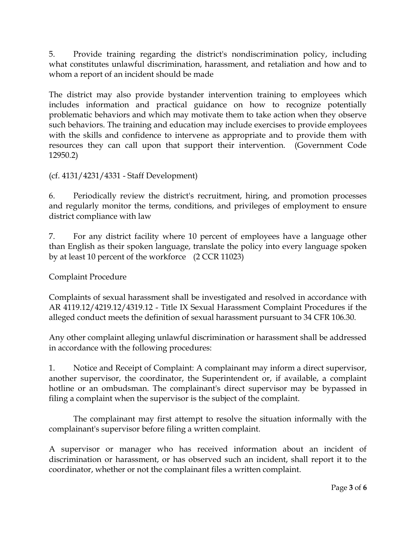5. Provide training regarding the district's nondiscrimination policy, including what constitutes unlawful discrimination, harassment, and retaliation and how and to whom a report of an incident should be made

The district may also provide bystander intervention training to employees which includes information and practical guidance on how to recognize potentially problematic behaviors and which may motivate them to take action when they observe such behaviors. The training and education may include exercises to provide employees with the skills and confidence to intervene as appropriate and to provide them with resources they can call upon that support their intervention. (Government Code 12950.2)

(cf. 4131/4231/4331 - Staff Development)

6. Periodically review the district's recruitment, hiring, and promotion processes and regularly monitor the terms, conditions, and privileges of employment to ensure district compliance with law

7. For any district facility where 10 percent of employees have a language other than English as their spoken language, translate the policy into every language spoken by at least 10 percent of the workforce (2 CCR 11023)

Complaint Procedure

Complaints of sexual harassment shall be investigated and resolved in accordance with AR 4119.12/4219.12/4319.12 - Title IX Sexual Harassment Complaint Procedures if the alleged conduct meets the definition of sexual harassment pursuant to 34 CFR 106.30.

Any other complaint alleging unlawful discrimination or harassment shall be addressed in accordance with the following procedures:

1. Notice and Receipt of Complaint: A complainant may inform a direct supervisor, another supervisor, the coordinator, the Superintendent or, if available, a complaint hotline or an ombudsman. The complainant's direct supervisor may be bypassed in filing a complaint when the supervisor is the subject of the complaint.

The complainant may first attempt to resolve the situation informally with the complainant's supervisor before filing a written complaint.

A supervisor or manager who has received information about an incident of discrimination or harassment, or has observed such an incident, shall report it to the coordinator, whether or not the complainant files a written complaint.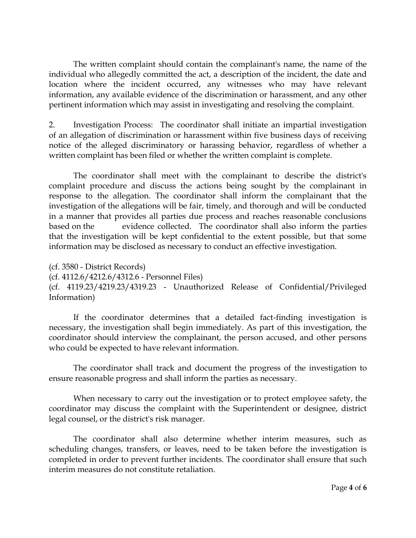The written complaint should contain the complainant's name, the name of the individual who allegedly committed the act, a description of the incident, the date and location where the incident occurred, any witnesses who may have relevant information, any available evidence of the discrimination or harassment, and any other pertinent information which may assist in investigating and resolving the complaint.

2. Investigation Process: The coordinator shall initiate an impartial investigation of an allegation of discrimination or harassment within five business days of receiving notice of the alleged discriminatory or harassing behavior, regardless of whether a written complaint has been filed or whether the written complaint is complete.

The coordinator shall meet with the complainant to describe the district's complaint procedure and discuss the actions being sought by the complainant in response to the allegation. The coordinator shall inform the complainant that the investigation of the allegations will be fair, timely, and thorough and will be conducted in a manner that provides all parties due process and reaches reasonable conclusions based on the evidence collected. The coordinator shall also inform the parties that the investigation will be kept confidential to the extent possible, but that some information may be disclosed as necessary to conduct an effective investigation.

(cf. 3580 - District Records) (cf. 4112.6/4212.6/4312.6 - Personnel Files) (cf. 4119.23/4219.23/4319.23 - Unauthorized Release of Confidential/Privileged Information)

If the coordinator determines that a detailed fact-finding investigation is necessary, the investigation shall begin immediately. As part of this investigation, the coordinator should interview the complainant, the person accused, and other persons who could be expected to have relevant information.

The coordinator shall track and document the progress of the investigation to ensure reasonable progress and shall inform the parties as necessary.

When necessary to carry out the investigation or to protect employee safety, the coordinator may discuss the complaint with the Superintendent or designee, district legal counsel, or the district's risk manager.

The coordinator shall also determine whether interim measures, such as scheduling changes, transfers, or leaves, need to be taken before the investigation is completed in order to prevent further incidents. The coordinator shall ensure that such interim measures do not constitute retaliation.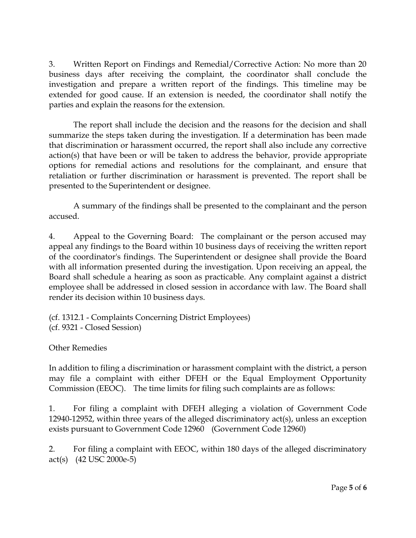3. Written Report on Findings and Remedial/Corrective Action: No more than 20 business days after receiving the complaint, the coordinator shall conclude the investigation and prepare a written report of the findings. This timeline may be extended for good cause. If an extension is needed, the coordinator shall notify the parties and explain the reasons for the extension.

The report shall include the decision and the reasons for the decision and shall summarize the steps taken during the investigation. If a determination has been made that discrimination or harassment occurred, the report shall also include any corrective action(s) that have been or will be taken to address the behavior, provide appropriate options for remedial actions and resolutions for the complainant, and ensure that retaliation or further discrimination or harassment is prevented. The report shall be presented to the Superintendent or designee.

A summary of the findings shall be presented to the complainant and the person accused.

4. Appeal to the Governing Board: The complainant or the person accused may appeal any findings to the Board within 10 business days of receiving the written report of the coordinator's findings. The Superintendent or designee shall provide the Board with all information presented during the investigation. Upon receiving an appeal, the Board shall schedule a hearing as soon as practicable. Any complaint against a district employee shall be addressed in closed session in accordance with law. The Board shall render its decision within 10 business days.

(cf. 1312.1 - Complaints Concerning District Employees) (cf. 9321 - Closed Session)

Other Remedies

In addition to filing a discrimination or harassment complaint with the district, a person may file a complaint with either DFEH or the Equal Employment Opportunity Commission (EEOC). The time limits for filing such complaints are as follows:

1. For filing a complaint with DFEH alleging a violation of Government Code 12940-12952, within three years of the alleged discriminatory act(s), unless an exception exists pursuant to Government Code 12960 (Government Code 12960)

2. For filing a complaint with EEOC, within 180 days of the alleged discriminatory act(s) (42 USC 2000e-5)